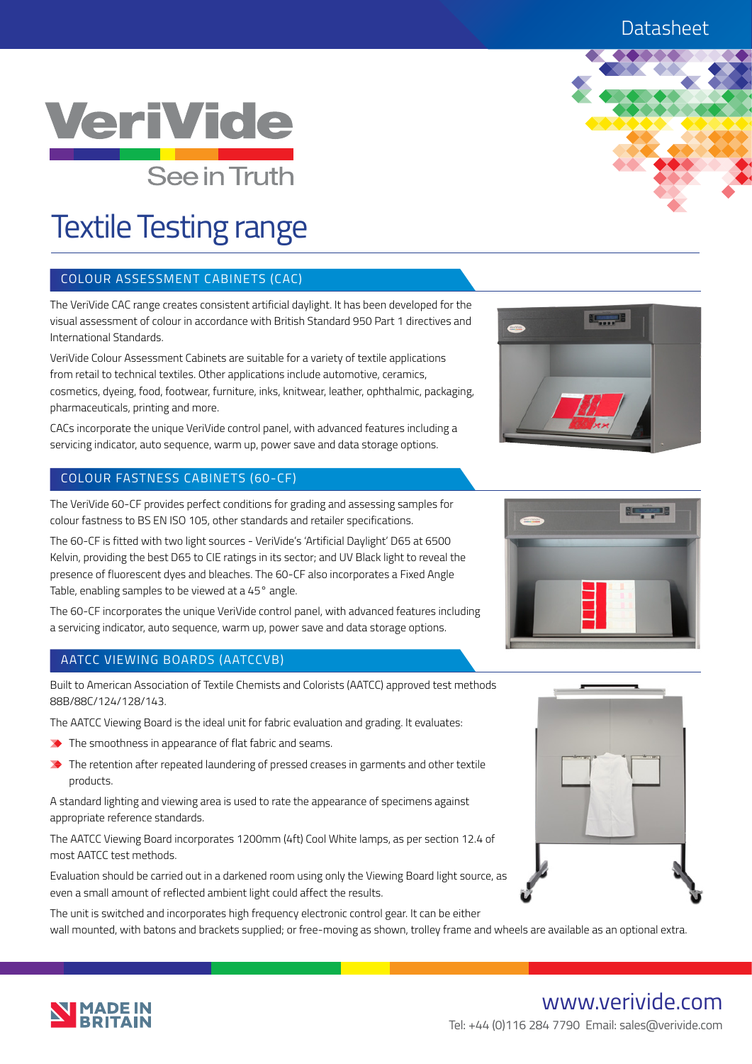# **Datasheet**



# Textile Testing range

# COLOUR ASSESSMENT CABINETS (CAC)

The VeriVide CAC range creates consistent artificial daylight. It has been developed for the visual assessment of colour in accordance with British Standard 950 Part 1 directives and International Standards.

VeriVide Colour Assessment Cabinets are suitable for a variety of textile applications from retail to technical textiles. Other applications include automotive, ceramics, cosmetics, dyeing, food, footwear, furniture, inks, knitwear, leather, ophthalmic, packaging, pharmaceuticals, printing and more.

CACs incorporate the unique VeriVide control panel, with advanced features including a servicing indicator, auto sequence, warm up, power save and data storage options.

## COLOUR FASTNESS CABINETS (60-CF)

The VeriVide 60-CF provides perfect conditions for grading and assessing samples for colour fastness to BS EN ISO 105, other standards and retailer specifications.

The 60-CF is fitted with two light sources - VeriVide's 'Artificial Daylight' D65 at 6500 Kelvin, providing the best D65 to CIE ratings in its sector; and UV Black light to reveal the presence of fluorescent dyes and bleaches. The 60-CF also incorporates a Fixed Angle Table, enabling samples to be viewed at a 45° angle.

The 60-CF incorporates the unique VeriVide control panel, with advanced features including a servicing indicator, auto sequence, warm up, power save and data storage options.

#### AATCC VIEWING BOARDS (AATCCVB)

Built to American Association of Textile Chemists and Colorists (AATCC) approved test methods 88B/88C/124/128/143.

The AATCC Viewing Board is the ideal unit for fabric evaluation and grading. It evaluates:

- ◆ The smoothness in appearance of flat fabric and seams.
- The retention after repeated laundering of pressed creases in garments and other textile products.

A standard lighting and viewing area is used to rate the appearance of specimens against appropriate reference standards.

The AATCC Viewing Board incorporates 1200mm (4ft) Cool White lamps, as per section 12.4 of most AATCC test methods.

Evaluation should be carried out in a darkened room using only the Viewing Board light source, as even a small amount of reflected ambient light could affect the results.

The unit is switched and incorporates high frequency electronic control gear. It can be either wall mounted, with batons and brackets supplied; or free-moving as shown, trolley frame and wheels are available as an optional extra.









# www.verivide.com Tel: +44 (0)116 284 7790 Email: sales@verivide.com